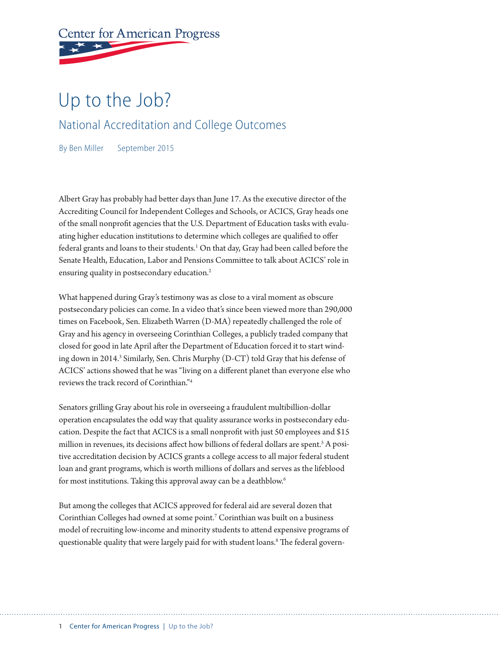# **Center for American Progress**

## Up to the Job?

National Accreditation and College Outcomes

By Ben Miller September 2015

Albert Gray has probably had better days than June 17. As the executive director of the Accrediting Council for Independent Colleges and Schools, or ACICS, Gray heads one of the small nonprofit agencies that the U.S. Department of Education tasks with evaluating higher education institutions to determine which colleges are qualified to offer federal grants and loans to their students.<sup>1</sup> On that day, Gray had been called before the Senate Health, Education, Labor and Pensions Committee to talk about ACICS' role in ensuring quality in postsecondary education.<sup>2</sup>

What happened during Gray's testimony was as close to a viral moment as obscure postsecondary policies can come. In a video that's since been viewed more than 290,000 times on Facebook, Sen. Elizabeth Warren (D-MA) repeatedly challenged the role of Gray and his agency in overseeing Corinthian Colleges, a publicly traded company that closed for good in late April after the Department of Education forced it to start winding down in 2014.<sup>3</sup> Similarly, Sen. Chris Murphy (D-CT) told Gray that his defense of ACICS' actions showed that he was "living on a different planet than everyone else who reviews the track record of Corinthian."4

Senators grilling Gray about his role in overseeing a fraudulent multibillion-dollar operation encapsulates the odd way that quality assurance works in postsecondary education. Despite the fact that ACICS is a small nonprofit with just 50 employees and \$15 million in revenues, its decisions affect how billions of federal dollars are spent.<sup>5</sup> A positive accreditation decision by ACICS grants a college access to all major federal student loan and grant programs, which is worth millions of dollars and serves as the lifeblood for most institutions. Taking this approval away can be a deathblow.<sup>6</sup>

But among the colleges that ACICS approved for federal aid are several dozen that Corinthian Colleges had owned at some point.<sup>7</sup> Corinthian was built on a business model of recruiting low-income and minority students to attend expensive programs of questionable quality that were largely paid for with student loans.8 The federal govern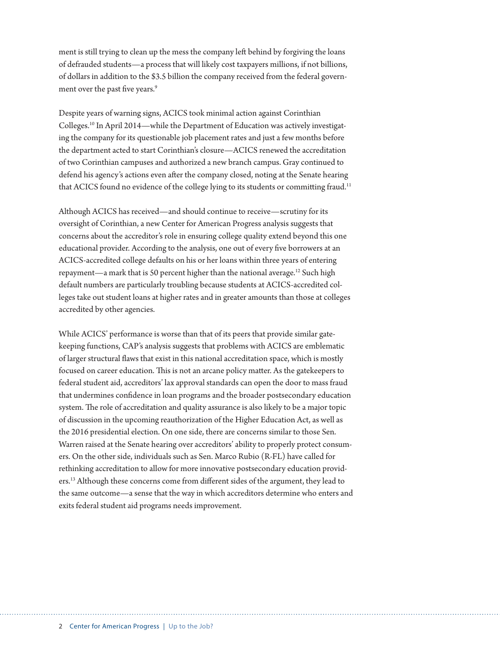ment is still trying to clean up the mess the company left behind by forgiving the loans of defrauded students—a process that will likely cost taxpayers millions, if not billions, of dollars in addition to the \$3.5 billion the company received from the federal government over the past five years.<sup>9</sup>

Despite years of warning signs, ACICS took minimal action against Corinthian Colleges.10 In April 2014—while the Department of Education was actively investigating the company for its questionable job placement rates and just a few months before the department acted to start Corinthian's closure—ACICS renewed the accreditation of two Corinthian campuses and authorized a new branch campus. Gray continued to defend his agency's actions even after the company closed, noting at the Senate hearing that ACICS found no evidence of the college lying to its students or committing fraud.<sup>11</sup>

Although ACICS has received—and should continue to receive—scrutiny for its oversight of Corinthian, a new Center for American Progress analysis suggests that concerns about the accreditor's role in ensuring college quality extend beyond this one educational provider. According to the analysis, one out of every five borrowers at an ACICS-accredited college defaults on his or her loans within three years of entering repayment—a mark that is 50 percent higher than the national average.12 Such high default numbers are particularly troubling because students at ACICS-accredited colleges take out student loans at higher rates and in greater amounts than those at colleges accredited by other agencies.

While ACICS' performance is worse than that of its peers that provide similar gatekeeping functions, CAP's analysis suggests that problems with ACICS are emblematic of larger structural flaws that exist in this national accreditation space, which is mostly focused on career education. This is not an arcane policy matter. As the gatekeepers to federal student aid, accreditors' lax approval standards can open the door to mass fraud that undermines confidence in loan programs and the broader postsecondary education system. The role of accreditation and quality assurance is also likely to be a major topic of discussion in the upcoming reauthorization of the Higher Education Act, as well as the 2016 presidential election. On one side, there are concerns similar to those Sen. Warren raised at the Senate hearing over accreditors' ability to properly protect consumers. On the other side, individuals such as Sen. Marco Rubio (R-FL) have called for rethinking accreditation to allow for more innovative postsecondary education providers.13 Although these concerns come from different sides of the argument, they lead to the same outcome—a sense that the way in which accreditors determine who enters and exits federal student aid programs needs improvement.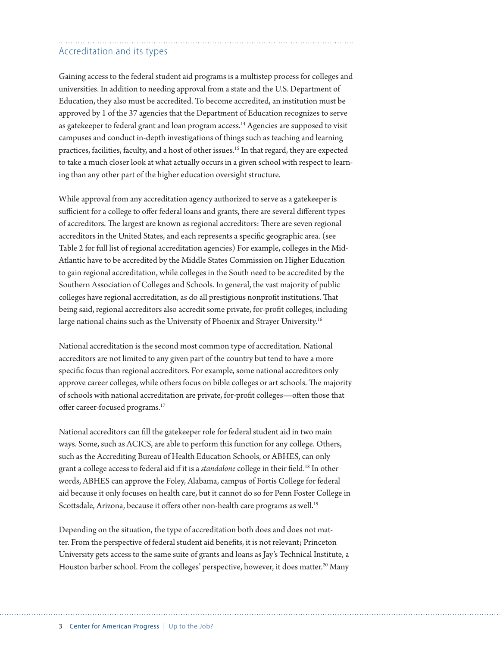### Accreditation and its types

Gaining access to the federal student aid programs is a multistep process for colleges and universities. In addition to needing approval from a state and the U.S. Department of Education, they also must be accredited. To become accredited, an institution must be approved by 1 of the 37 agencies that the Department of Education recognizes to serve as gatekeeper to federal grant and loan program access.<sup>14</sup> Agencies are supposed to visit campuses and conduct in-depth investigations of things such as teaching and learning practices, facilities, faculty, and a host of other issues.15 In that regard, they are expected to take a much closer look at what actually occurs in a given school with respect to learning than any other part of the higher education oversight structure.

While approval from any accreditation agency authorized to serve as a gatekeeper is sufficient for a college to offer federal loans and grants, there are several different types of accreditors. The largest are known as regional accreditors: There are seven regional accreditors in the United States, and each represents a specific geographic area. (see Table 2 for full list of regional accreditation agencies) For example, colleges in the Mid-Atlantic have to be accredited by the Middle States Commission on Higher Education to gain regional accreditation, while colleges in the South need to be accredited by the Southern Association of Colleges and Schools. In general, the vast majority of public colleges have regional accreditation, as do all prestigious nonprofit institutions. That being said, regional accreditors also accredit some private, for-profit colleges, including large national chains such as the University of Phoenix and Strayer University.<sup>16</sup>

National accreditation is the second most common type of accreditation. National accreditors are not limited to any given part of the country but tend to have a more specific focus than regional accreditors. For example, some national accreditors only approve career colleges, while others focus on bible colleges or art schools. The majority of schools with national accreditation are private, for-profit colleges—often those that offer career-focused programs.17

National accreditors can fill the gatekeeper role for federal student aid in two main ways. Some, such as ACICS, are able to perform this function for any college. Others, such as the Accrediting Bureau of Health Education Schools, or ABHES, can only grant a college access to federal aid if it is a *standalone* college in their field.18 In other words, ABHES can approve the Foley, Alabama, campus of Fortis College for federal aid because it only focuses on health care, but it cannot do so for Penn Foster College in Scottsdale, Arizona, because it offers other non-health care programs as well.<sup>19</sup>

Depending on the situation, the type of accreditation both does and does not matter. From the perspective of federal student aid benefits, it is not relevant; Princeton University gets access to the same suite of grants and loans as Jay's Technical Institute, a Houston barber school. From the colleges' perspective, however, it does matter.<sup>20</sup> Many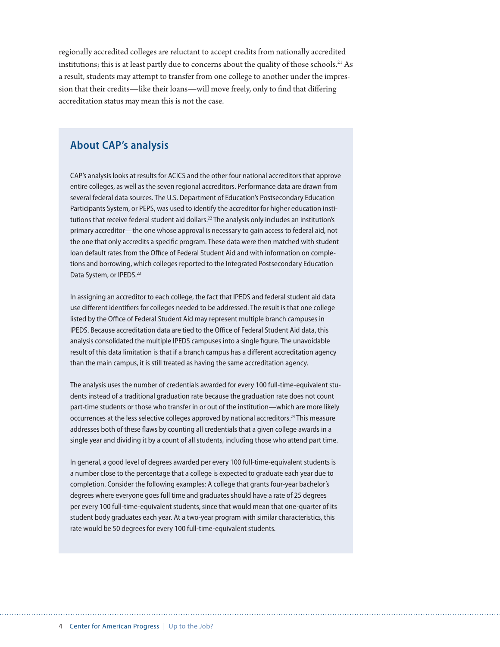regionally accredited colleges are reluctant to accept credits from nationally accredited institutions; this is at least partly due to concerns about the quality of those schools.<sup>21</sup> As a result, students may attempt to transfer from one college to another under the impression that their credits—like their loans—will move freely, only to find that differing accreditation status may mean this is not the case.

#### **About CAP's analysis**

CAP's analysis looks at results for ACICS and the other four national accreditors that approve entire colleges, as well as the seven regional accreditors. Performance data are drawn from several federal data sources. The U.S. Department of Education's Postsecondary Education Participants System, or PEPS, was used to identify the accreditor for higher education institutions that receive federal student aid dollars.<sup>22</sup> The analysis only includes an institution's primary accreditor—the one whose approval is necessary to gain access to federal aid, not the one that only accredits a specific program. These data were then matched with student loan default rates from the Office of Federal Student Aid and with information on completions and borrowing, which colleges reported to the Integrated Postsecondary Education Data System, or IPEDS.<sup>23</sup>

In assigning an accreditor to each college, the fact that IPEDS and federal student aid data use different identifiers for colleges needed to be addressed. The result is that one college listed by the Office of Federal Student Aid may represent multiple branch campuses in IPEDS. Because accreditation data are tied to the Office of Federal Student Aid data, this analysis consolidated the multiple IPEDS campuses into a single figure. The unavoidable result of this data limitation is that if a branch campus has a different accreditation agency than the main campus, it is still treated as having the same accreditation agency.

The analysis uses the number of credentials awarded for every 100 full-time-equivalent students instead of a traditional graduation rate because the graduation rate does not count part-time students or those who transfer in or out of the institution—which are more likely occurrences at the less selective colleges approved by national accreditors.<sup>24</sup> This measure addresses both of these flaws by counting all credentials that a given college awards in a single year and dividing it by a count of all students, including those who attend part time.

In general, a good level of degrees awarded per every 100 full-time-equivalent students is a number close to the percentage that a college is expected to graduate each year due to completion. Consider the following examples: A college that grants four-year bachelor's degrees where everyone goes full time and graduates should have a rate of 25 degrees per every 100 full-time-equivalent students, since that would mean that one-quarter of its student body graduates each year. At a two-year program with similar characteristics, this rate would be 50 degrees for every 100 full-time-equivalent students.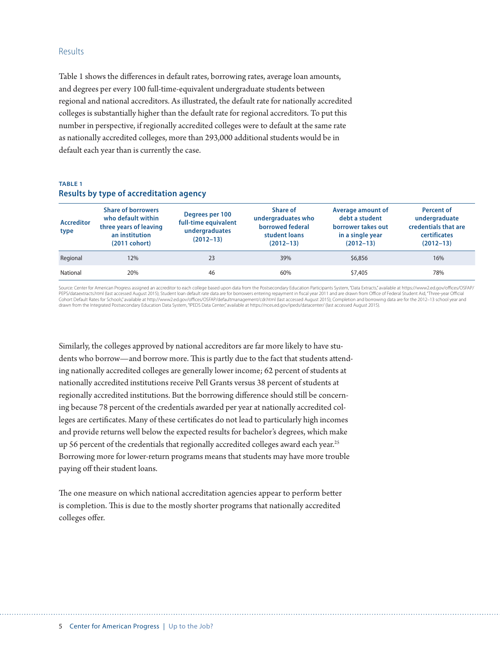#### Results

Table 1 shows the differences in default rates, borrowing rates, average loan amounts, and degrees per every 100 full-time-equivalent undergraduate students between regional and national accreditors. As illustrated, the default rate for nationally accredited colleges is substantially higher than the default rate for regional accreditors. To put this number in perspective, if regionally accredited colleges were to default at the same rate as nationally accredited colleges, more than 293,000 additional students would be in default each year than is currently the case.

#### **TABLE 1 Results by type of accreditation agency**

| <b>Accreditor</b><br>type | <b>Share of borrowers</b><br>who default within<br>three years of leaving<br>an institution<br>$(2011 \text{ cohort})$ | Degrees per 100<br>full-time equivalent<br>undergraduates<br>$(2012 - 13)$ | <b>Share of</b><br>undergraduates who<br>borrowed federal<br>student loans<br>$(2012 - 13)$ | Average amount of<br>debt a student<br>borrower takes out<br>in a single year<br>$(2012 - 13)$ | <b>Percent of</b><br>undergraduate<br>credentials that are<br>certificates<br>$(2012 - 13)$ |
|---------------------------|------------------------------------------------------------------------------------------------------------------------|----------------------------------------------------------------------------|---------------------------------------------------------------------------------------------|------------------------------------------------------------------------------------------------|---------------------------------------------------------------------------------------------|
| Regional                  | 12%                                                                                                                    | 23                                                                         | 39%                                                                                         | \$6,856                                                                                        | 16%                                                                                         |
| National                  | 20%                                                                                                                    | 46                                                                         | 60%                                                                                         | \$7,405                                                                                        | 78%                                                                                         |

Source: Center for American Progress assigned an accreditor to each college based upon data from the Postsecondary Education Participants System, "Data Extracts," available at https://www2.ed.gov/offices/OSFAP/ PEPS/dataextracts.html (last accessed August 2015); Student loan default rate data are for borrowers entering repayment in fiscal year 2011 and are drawn from Office of Federal Student Aid, "Three-year Official Cohort Default Rates for Schools," available at http://www2.ed.gov/offices/OSFAP/defaultmanagement/cdr.html (last accessed August 2015); Completion and borrowing data are for the 2012–13 school year and drawn from the Integrated Postsecondary Education Data System, "IPEDS Data Center," available at https://nces.ed.gov/ipeds/datacenter/ (last accessed August 2015).

Similarly, the colleges approved by national accreditors are far more likely to have students who borrow—and borrow more. This is partly due to the fact that students attending nationally accredited colleges are generally lower income; 62 percent of students at nationally accredited institutions receive Pell Grants versus 38 percent of students at regionally accredited institutions. But the borrowing difference should still be concerning because 78 percent of the credentials awarded per year at nationally accredited colleges are certificates. Many of these certificates do not lead to particularly high incomes and provide returns well below the expected results for bachelor's degrees, which make up 56 percent of the credentials that regionally accredited colleges award each year.<sup>25</sup> Borrowing more for lower-return programs means that students may have more trouble paying off their student loans.

The one measure on which national accreditation agencies appear to perform better is completion. This is due to the mostly shorter programs that nationally accredited colleges offer.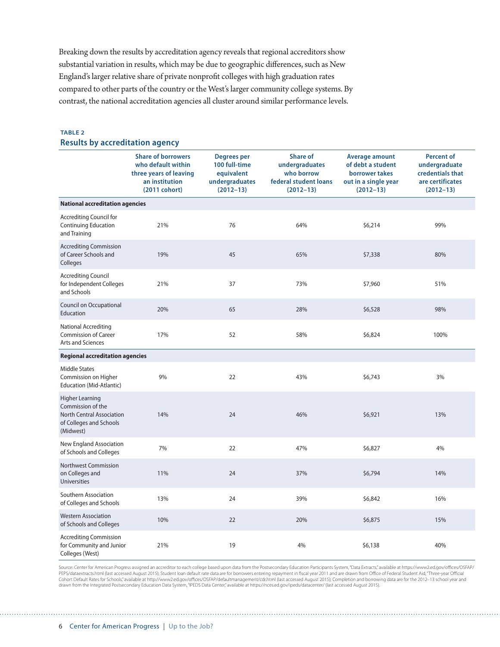Breaking down the results by accreditation agency reveals that regional accreditors show substantial variation in results, which may be due to geographic differences, such as New England's larger relative share of private nonprofit colleges with high graduation rates compared to other parts of the country or the West's larger community college systems. By contrast, the national accreditation agencies all cluster around similar performance levels.

#### **TABLE 2 Results by accreditation agency**

|                                                                                                                         | <b>Share of borrowers</b><br>who default within<br>three years of leaving<br>an institution<br>(2011 cohort) | <b>Degrees per</b><br>100 full-time<br>equivalent<br>undergraduates<br>$(2012 - 13)$ | <b>Share of</b><br>undergraduates<br>who borrow<br>federal student loans<br>$(2012 - 13)$ | <b>Average amount</b><br>of debt a student<br>borrower takes<br>out in a single year<br>$(2012 - 13)$ | <b>Percent of</b><br>undergraduate<br>credentials that<br>are certificates<br>$(2012 - 13)$ |
|-------------------------------------------------------------------------------------------------------------------------|--------------------------------------------------------------------------------------------------------------|--------------------------------------------------------------------------------------|-------------------------------------------------------------------------------------------|-------------------------------------------------------------------------------------------------------|---------------------------------------------------------------------------------------------|
| <b>National accreditation agencies</b>                                                                                  |                                                                                                              |                                                                                      |                                                                                           |                                                                                                       |                                                                                             |
| <b>Accrediting Council for</b><br><b>Continuing Education</b><br>and Training                                           | 21%                                                                                                          | 76                                                                                   | 64%                                                                                       | \$6,214                                                                                               | 99%                                                                                         |
| <b>Accrediting Commission</b><br>of Career Schools and<br>Colleges                                                      | 19%                                                                                                          | 45                                                                                   | 65%                                                                                       | \$7,338                                                                                               | 80%                                                                                         |
| <b>Accrediting Council</b><br>for Independent Colleges<br>and Schools                                                   | 21%                                                                                                          | 37                                                                                   | 73%                                                                                       | \$7,960                                                                                               | 51%                                                                                         |
| Council on Occupational<br>Education                                                                                    | 20%                                                                                                          | 65                                                                                   | 28%                                                                                       | \$6,528                                                                                               | 98%                                                                                         |
| <b>National Accrediting</b><br><b>Commission of Career</b><br>Arts and Sciences                                         | 17%                                                                                                          | 52                                                                                   | 58%                                                                                       | \$6,824                                                                                               | 100%                                                                                        |
| <b>Regional accreditation agencies</b>                                                                                  |                                                                                                              |                                                                                      |                                                                                           |                                                                                                       |                                                                                             |
| <b>Middle States</b><br>Commission on Higher<br>Education (Mid-Atlantic)                                                | 9%                                                                                                           | 22                                                                                   | 43%                                                                                       | \$6,743                                                                                               | 3%                                                                                          |
| <b>Higher Learning</b><br>Commission of the<br><b>North Central Association</b><br>of Colleges and Schools<br>(Midwest) | 14%                                                                                                          | 24                                                                                   | 46%                                                                                       | \$6,921                                                                                               | 13%                                                                                         |
| New England Association<br>of Schools and Colleges                                                                      | 7%                                                                                                           | 22                                                                                   | 47%                                                                                       | \$6,827                                                                                               | 4%                                                                                          |
| <b>Northwest Commission</b><br>on Colleges and<br><b>Universities</b>                                                   | 11%                                                                                                          | 24                                                                                   | 37%                                                                                       | \$6,794                                                                                               | 14%                                                                                         |
| Southern Association<br>of Colleges and Schools                                                                         | 13%                                                                                                          | 24                                                                                   | 39%                                                                                       | \$6,842                                                                                               | 16%                                                                                         |
| <b>Western Association</b><br>of Schools and Colleges                                                                   | 10%                                                                                                          | 22                                                                                   | 20%                                                                                       | \$6,875                                                                                               | 15%                                                                                         |
| <b>Accrediting Commission</b><br>for Community and Junior<br>Colleges (West)                                            | 21%                                                                                                          | 19                                                                                   | 4%                                                                                        | \$6,138                                                                                               | 40%                                                                                         |

Source: Center for American Progress assigned an accreditor to each college based upon data from the Postsecondary Education Participants System, "Data Extracts," available at https://www2.ed.gov/offices/OSFAP/ PEPS/dataextracts.html (last accessed August 2015); Student loan default rate data are for borrowers entering repayment in fiscal year 2011 and are drawn from Office of Federal Student Aid, "Three-year Official Cohort Default Rates for Schools," available at http://www2.ed.gov/offices/OSFAP/defaultmanagement/cdr.html (last accessed August 2015); Completion and borrowing data are for the 2012–13 school year and<br>drawn from the Inte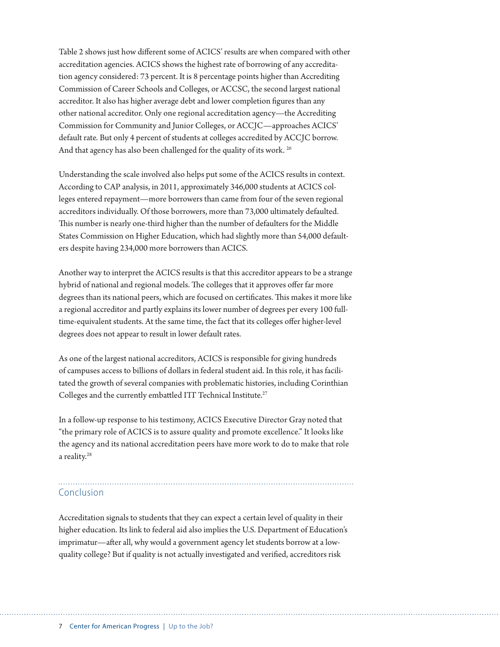Table 2 shows just how different some of ACICS' results are when compared with other accreditation agencies. ACICS shows the highest rate of borrowing of any accreditation agency considered: 73 percent. It is 8 percentage points higher than Accrediting Commission of Career Schools and Colleges, or ACCSC, the second largest national accreditor. It also has higher average debt and lower completion figures than any other national accreditor. Only one regional accreditation agency—the Accrediting Commission for Community and Junior Colleges, or ACCJC—approaches ACICS' default rate. But only 4 percent of students at colleges accredited by ACCJC borrow. And that agency has also been challenged for the quality of its work.<sup>26</sup>

Understanding the scale involved also helps put some of the ACICS results in context. According to CAP analysis, in 2011, approximately 346,000 students at ACICS colleges entered repayment—more borrowers than came from four of the seven regional accreditors individually. Of those borrowers, more than 73,000 ultimately defaulted. This number is nearly one-third higher than the number of defaulters for the Middle States Commission on Higher Education, which had slightly more than 54,000 defaulters despite having 234,000 more borrowers than ACICS.

Another way to interpret the ACICS results is that this accreditor appears to be a strange hybrid of national and regional models. The colleges that it approves offer far more degrees than its national peers, which are focused on certificates. This makes it more like a regional accreditor and partly explains its lower number of degrees per every 100 fulltime-equivalent students. At the same time, the fact that its colleges offer higher-level degrees does not appear to result in lower default rates.

As one of the largest national accreditors, ACICS is responsible for giving hundreds of campuses access to billions of dollars in federal student aid. In this role, it has facilitated the growth of several companies with problematic histories, including Corinthian Colleges and the currently embattled ITT Technical Institute.<sup>27</sup>

In a follow-up response to his testimony, ACICS Executive Director Gray noted that "the primary role of ACICS is to assure quality and promote excellence." It looks like the agency and its national accreditation peers have more work to do to make that role a reality.<sup>28</sup>

#### Conclusion

Accreditation signals to students that they can expect a certain level of quality in their higher education. Its link to federal aid also implies the U.S. Department of Education's imprimatur—after all, why would a government agency let students borrow at a lowquality college? But if quality is not actually investigated and verified, accreditors risk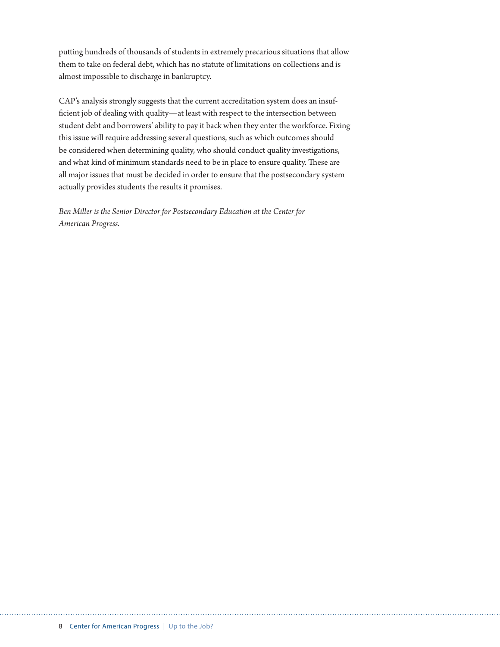putting hundreds of thousands of students in extremely precarious situations that allow them to take on federal debt, which has no statute of limitations on collections and is almost impossible to discharge in bankruptcy.

CAP's analysis strongly suggests that the current accreditation system does an insufficient job of dealing with quality—at least with respect to the intersection between student debt and borrowers' ability to pay it back when they enter the workforce. Fixing this issue will require addressing several questions, such as which outcomes should be considered when determining quality, who should conduct quality investigations, and what kind of minimum standards need to be in place to ensure quality. These are all major issues that must be decided in order to ensure that the postsecondary system actually provides students the results it promises.

*Ben Miller is the Senior Director for Postsecondary Education at the Center for American Progress.*